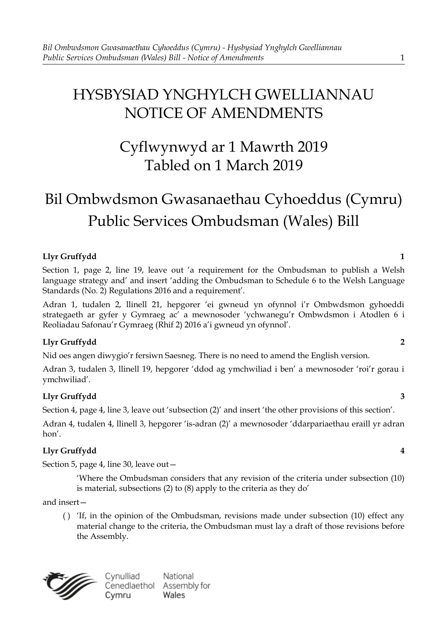# HYSBYSIAD YNGHYLCH GWELLIANNAU NOTICE OF AMENDMENTS

# Cyflwynwyd ar 1 Mawrth 2019 Tabled on 1 March 2019

# Bil Ombwdsmon Gwasanaethau Cyhoeddus (Cymru) Public Services Ombudsman (Wales) Bill

## **Llyr Gruffydd 1**

Section 1, page 2, line 19, leave out 'a requirement for the Ombudsman to publish a Welsh language strategy and' and insert 'adding the Ombudsman to Schedule 6 to the Welsh Language Standards (No. 2) Regulations 2016 and a requirement'.

Adran 1, tudalen 2, llinell 21, hepgorer 'ei gwneud yn ofynnol i'r Ombwdsmon gyhoeddi strategaeth ar gyfer y Gymraeg ac' a mewnosoder 'ychwanegu'r Ombwdsmon i Atodlen 6 i Reoliadau Safonau'r Gymraeg (Rhif 2) 2016 a'i gwneud yn ofynnol'.

## **Llyr Gruffydd 2**

Nid oes angen diwygio'r fersiwn Saesneg. There is no need to amend the English version.

Adran 3, tudalen 3, llinell 19, hepgorer 'ddod ag ymchwiliad i ben' a mewnosoder 'roi'r gorau i ymchwiliad'.

## **Llyr Gruffydd 3**

Section 4, page 4, line 3, leave out 'subsection (2)' and insert 'the other provisions of this section'.

Adran 4, tudalen 4, llinell 3, hepgorer 'is-adran (2)' a mewnosoder 'ddarpariaethau eraill yr adran hon'.

## **Llyr Gruffydd 4**

Section 5, page 4, line 30, leave out—

'Where the Ombudsman considers that any revision of the criteria under subsection (10) is material, subsections (2) to (8) apply to the criteria as they do'

and insert—

( ) 'If, in the opinion of the Ombudsman, revisions made under subsection (10) effect any material change to the criteria, the Ombudsman must lay a draft of those revisions before the Assembly.

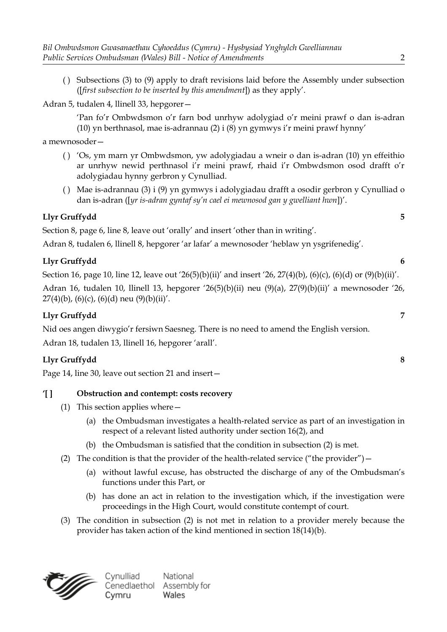( ) Subsections (3) to (9) apply to draft revisions laid before the Assembly under subsection ([*first subsection to be inserted by this amendment*]) as they apply'.

Adran 5, tudalen 4, llinell 33, hepgorer—

'Pan fo'r Ombwdsmon o'r farn bod unrhyw adolygiad o'r meini prawf o dan is-adran (10) yn berthnasol, mae is-adrannau (2) i (8) yn gymwys i'r meini prawf hynny'

a mewnosoder—

- ( ) 'Os, ym marn yr Ombwdsmon, yw adolygiadau a wneir o dan is-adran (10) yn effeithio ar unrhyw newid perthnasol i'r meini prawf, rhaid i'r Ombwdsmon osod drafft o'r adolygiadau hynny gerbron y Cynulliad.
- ( ) Mae is-adrannau (3) i (9) yn gymwys i adolygiadau drafft a osodir gerbron y Cynulliad o dan is-adran ([*yr is-adran gyntaf sy'n cael ei mewnosod gan y gwelliant hwn*])'.

## **Llyr Gruffydd 5**

Section 8, page 6, line 8, leave out 'orally' and insert 'other than in writing'.

Adran 8, tudalen 6, llinell 8, hepgorer 'ar lafar' a mewnosoder 'heblaw yn ysgrifenedig'.

## **Llyr Gruffydd 6**

Section 16, page 10, line 12, leave out '26(5)(b)(ii)' and insert '26, 27(4)(b), (6)(c), (6)(d) or (9)(b)(ii)'.

Adran 16, tudalen 10, llinell 13, hepgorer '26(5)(b)(ii) neu (9)(a), 27(9)(b)(ii)' a mewnosoder '26,  $27(4)(b)$ , (6)(c), (6)(d) neu (9)(b)(ii)'.

## **Llyr Gruffydd 7**

Nid oes angen diwygio'r fersiwn Saesneg. There is no need to amend the English version. Adran 18, tudalen 13, llinell 16, hepgorer 'arall'.

## **Llyr Gruffydd 8**

Page 14, line 30, leave out section 21 and insert—

## **'[ ] Obstruction and contempt: costs recovery**

- (1) This section applies where—
	- (a) the Ombudsman investigates a health-related service as part of an investigation in respect of a relevant listed authority under section 16(2), and
	- (b) the Ombudsman is satisfied that the condition in subsection (2) is met.
- (2) The condition is that the provider of the health-related service ("the provider")  $-$ 
	- (a) without lawful excuse, has obstructed the discharge of any of the Ombudsman's functions under this Part, or
	- (b) has done an act in relation to the investigation which, if the investigation were proceedings in the High Court, would constitute contempt of court.
- (3) The condition in subsection (2) is not met in relation to a provider merely because the provider has taken action of the kind mentioned in section 18(14)(b).

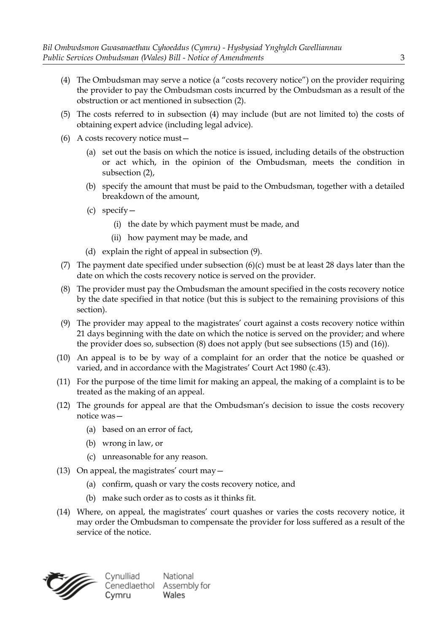- (4) The Ombudsman may serve a notice (a "costs recovery notice") on the provider requiring the provider to pay the Ombudsman costs incurred by the Ombudsman as a result of the obstruction or act mentioned in subsection (2).
- (5) The costs referred to in subsection (4) may include (but are not limited to) the costs of obtaining expert advice (including legal advice).
- (6) A costs recovery notice must—
	- (a) set out the basis on which the notice is issued, including details of the obstruction or act which, in the opinion of the Ombudsman, meets the condition in subsection (2),
	- (b) specify the amount that must be paid to the Ombudsman, together with a detailed breakdown of the amount,
	- (c) specify—
		- (i) the date by which payment must be made, and
		- (ii) how payment may be made, and
	- (d) explain the right of appeal in subsection (9).
- (7) The payment date specified under subsection  $(6)(c)$  must be at least 28 days later than the date on which the costs recovery notice is served on the provider.
- (8) The provider must pay the Ombudsman the amount specified in the costs recovery notice by the date specified in that notice (but this is subject to the remaining provisions of this section).
- (9) The provider may appeal to the magistrates' court against a costs recovery notice within 21 days beginning with the date on which the notice is served on the provider; and where the provider does so, subsection (8) does not apply (but see subsections (15) and (16)).
- (10) An appeal is to be by way of a complaint for an order that the notice be quashed or varied, and in accordance with the Magistrates' Court Act 1980 (c.43).
- (11) For the purpose of the time limit for making an appeal, the making of a complaint is to be treated as the making of an appeal.
- (12) The grounds for appeal are that the Ombudsman's decision to issue the costs recovery notice was—
	- (a) based on an error of fact,
	- (b) wrong in law, or
	- (c) unreasonable for any reason.
- (13) On appeal, the magistrates' court may—
	- (a) confirm, quash or vary the costs recovery notice, and
	- (b) make such order as to costs as it thinks fit.
- (14) Where, on appeal, the magistrates' court quashes or varies the costs recovery notice, it may order the Ombudsman to compensate the provider for loss suffered as a result of the service of the notice.

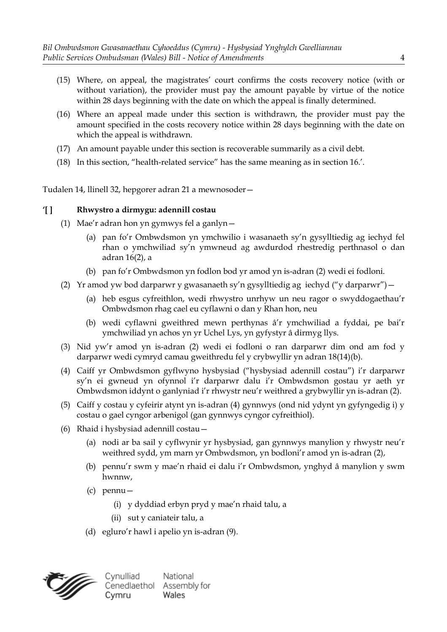- (15) Where, on appeal, the magistrates' court confirms the costs recovery notice (with or without variation), the provider must pay the amount payable by virtue of the notice within 28 days beginning with the date on which the appeal is finally determined.
- (16) Where an appeal made under this section is withdrawn, the provider must pay the amount specified in the costs recovery notice within 28 days beginning with the date on which the appeal is withdrawn.
- (17) An amount payable under this section is recoverable summarily as a civil debt.
- (18) In this section, "health-related service" has the same meaning as in section 16.'.

Tudalen 14, llinell 32, hepgorer adran 21 a mewnosoder—

#### **'[ ] Rhwystro a dirmygu: adennill costau**

- (1) Mae'r adran hon yn gymwys fel a ganlyn—
	- (a) pan fo'r Ombwdsmon yn ymchwilio i wasanaeth sy'n gysylltiedig ag iechyd fel rhan o ymchwiliad sy'n ymwneud ag awdurdod rhestredig perthnasol o dan adran 16(2), a
	- (b) pan fo'r Ombwdsmon yn fodlon bod yr amod yn is-adran (2) wedi ei fodloni.
- (2) Yr amod yw bod darparwr y gwasanaeth sy'n gysylltiedig ag iechyd ("y darparwr")—
	- (a) heb esgus cyfreithlon, wedi rhwystro unrhyw un neu ragor o swyddogaethau'r Ombwdsmon rhag cael eu cyflawni o dan y Rhan hon, neu
	- (b) wedi cyflawni gweithred mewn perthynas â'r ymchwiliad a fyddai, pe bai'r ymchwiliad yn achos yn yr Uchel Lys, yn gyfystyr â dirmyg llys.
- (3) Nid yw'r amod yn is-adran (2) wedi ei fodloni o ran darparwr dim ond am fod y darparwr wedi cymryd camau gweithredu fel y crybwyllir yn adran 18(14)(b).
- (4) Caiff yr Ombwdsmon gyflwyno hysbysiad ("hysbysiad adennill costau") i'r darparwr sy'n ei gwneud yn ofynnol i'r darparwr dalu i'r Ombwdsmon gostau yr aeth yr Ombwdsmon iddynt o ganlyniad i'r rhwystr neu'r weithred a grybwyllir yn is-adran (2).
- (5) Caiff y costau y cyfeirir atynt yn is-adran (4) gynnwys (ond nid ydynt yn gyfyngedig i) y costau o gael cyngor arbenigol (gan gynnwys cyngor cyfreithiol).
- (6) Rhaid i hysbysiad adennill costau—
	- (a) nodi ar ba sail y cyflwynir yr hysbysiad, gan gynnwys manylion y rhwystr neu'r weithred sydd, ym marn yr Ombwdsmon, yn bodloni'r amod yn is-adran (2),
	- (b) pennu'r swm y mae'n rhaid ei dalu i'r Ombwdsmon, ynghyd â manylion y swm hwnnw,
	- (c) pennu—
		- (i) y dyddiad erbyn pryd y mae'n rhaid talu, a
		- (ii) sut y caniateir talu, a
	- (d) egluro'r hawl i apelio yn is-adran (9).



Cynulliad National Cenedlaethol Assembly for Wales Cymru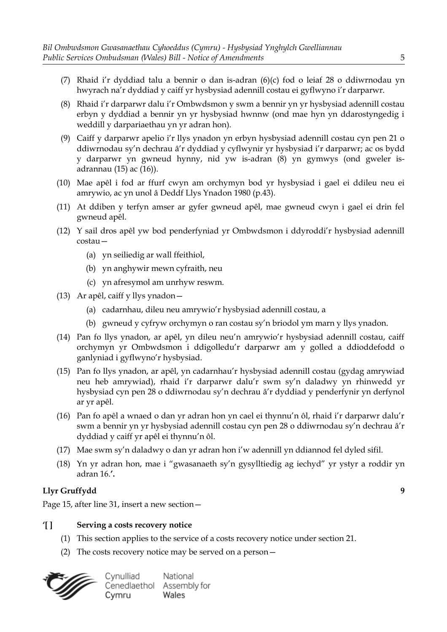- (7) Rhaid i'r dyddiad talu a bennir o dan is-adran (6)(c) fod o leiaf 28 o ddiwrnodau yn hwyrach na'r dyddiad y caiff yr hysbysiad adennill costau ei gyflwyno i'r darparwr.
- (8) Rhaid i'r darparwr dalu i'r Ombwdsmon y swm a bennir yn yr hysbysiad adennill costau erbyn y dyddiad a bennir yn yr hysbysiad hwnnw (ond mae hyn yn ddarostyngedig i weddill y darpariaethau yn yr adran hon).
- (9) Caiff y darparwr apelio i'r llys ynadon yn erbyn hysbysiad adennill costau cyn pen 21 o ddiwrnodau sy'n dechrau â'r dyddiad y cyflwynir yr hysbysiad i'r darparwr; ac os bydd y darparwr yn gwneud hynny, nid yw is-adran (8) yn gymwys (ond gweler isadrannau (15) ac (16)).
- (10) Mae apêl i fod ar ffurf cwyn am orchymyn bod yr hysbysiad i gael ei ddileu neu ei amrywio, ac yn unol â Deddf Llys Ynadon 1980 (p.43).
- (11) At ddiben y terfyn amser ar gyfer gwneud apêl, mae gwneud cwyn i gael ei drin fel gwneud apêl.
- (12) Y sail dros apêl yw bod penderfyniad yr Ombwdsmon i ddyroddi'r hysbysiad adennill costau—
	- (a) yn seiliedig ar wall ffeithiol,
	- (b) yn anghywir mewn cyfraith, neu
	- (c) yn afresymol am unrhyw reswm.
- (13) Ar apêl, caiff y llys ynadon—
	- (a) cadarnhau, dileu neu amrywio'r hysbysiad adennill costau, a
	- (b) gwneud y cyfryw orchymyn o ran costau sy'n briodol ym marn y llys ynadon.
- (14) Pan fo llys ynadon, ar apêl, yn dileu neu'n amrywio'r hysbysiad adennill costau, caiff orchymyn yr Ombwdsmon i ddigolledu'r darparwr am y golled a ddioddefodd o ganlyniad i gyflwyno'r hysbysiad.
- (15) Pan fo llys ynadon, ar apêl, yn cadarnhau'r hysbysiad adennill costau (gydag amrywiad neu heb amrywiad), rhaid i'r darparwr dalu'r swm sy'n daladwy yn rhinwedd yr hysbysiad cyn pen 28 o ddiwrnodau sy'n dechrau â'r dyddiad y penderfynir yn derfynol ar yr apêl.
- (16) Pan fo apêl a wnaed o dan yr adran hon yn cael ei thynnu'n ôl, rhaid i'r darparwr dalu'r swm a bennir yn yr hysbysiad adennill costau cyn pen 28 o ddiwrnodau sy'n dechrau â'r dyddiad y caiff yr apêl ei thynnu'n ôl.
- (17) Mae swm sy'n daladwy o dan yr adran hon i'w adennill yn ddiannod fel dyled sifil.
- (18) Yn yr adran hon, mae i "gwasanaeth sy'n gysylltiedig ag iechyd" yr ystyr a roddir yn adran 16.**'.**

Page 15, after line 31, insert a new section—

#### **'[ ] Serving a costs recovery notice**

- (1) This section applies to the service of a costs recovery notice under section 21.
- (2) The costs recovery notice may be served on a person—

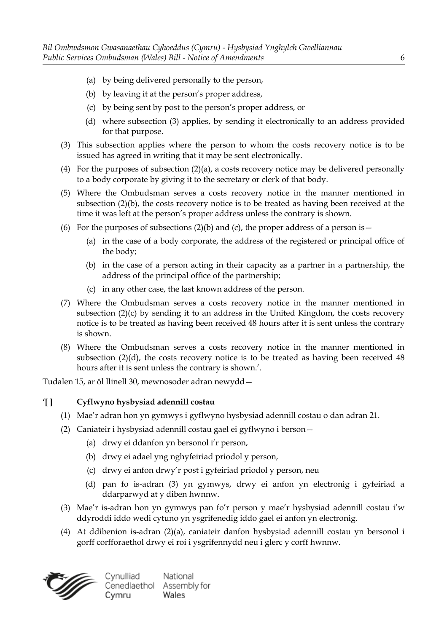- (a) by being delivered personally to the person,
- (b) by leaving it at the person's proper address,
- (c) by being sent by post to the person's proper address, or
- (d) where subsection (3) applies, by sending it electronically to an address provided for that purpose.
- (3) This subsection applies where the person to whom the costs recovery notice is to be issued has agreed in writing that it may be sent electronically.
- (4) For the purposes of subsection (2)(a), a costs recovery notice may be delivered personally to a body corporate by giving it to the secretary or clerk of that body.
- (5) Where the Ombudsman serves a costs recovery notice in the manner mentioned in subsection (2)(b), the costs recovery notice is to be treated as having been received at the time it was left at the person's proper address unless the contrary is shown.
- (6) For the purposes of subsections  $(2)(b)$  and  $(c)$ , the proper address of a person is
	- (a) in the case of a body corporate, the address of the registered or principal office of the body;
	- (b) in the case of a person acting in their capacity as a partner in a partnership, the address of the principal office of the partnership;
	- (c) in any other case, the last known address of the person.
- (7) Where the Ombudsman serves a costs recovery notice in the manner mentioned in subsection (2)(c) by sending it to an address in the United Kingdom, the costs recovery notice is to be treated as having been received 48 hours after it is sent unless the contrary is shown.
- (8) Where the Ombudsman serves a costs recovery notice in the manner mentioned in subsection  $(2)(d)$ , the costs recovery notice is to be treated as having been received 48 hours after it is sent unless the contrary is shown.'.

Tudalen 15, ar ôl llinell 30, mewnosoder adran newydd—

#### **'[ ] Cyflwyno hysbysiad adennill costau**

- (1) Mae'r adran hon yn gymwys i gyflwyno hysbysiad adennill costau o dan adran 21.
- (2) Caniateir i hysbysiad adennill costau gael ei gyflwyno i berson—
	- (a) drwy ei ddanfon yn bersonol i'r person,
	- (b) drwy ei adael yng nghyfeiriad priodol y person,
	- (c) drwy ei anfon drwy'r post i gyfeiriad priodol y person, neu
	- (d) pan fo is-adran (3) yn gymwys, drwy ei anfon yn electronig i gyfeiriad a ddarparwyd at y diben hwnnw.
- (3) Mae'r is-adran hon yn gymwys pan fo'r person y mae'r hysbysiad adennill costau i'w ddyroddi iddo wedi cytuno yn ysgrifenedig iddo gael ei anfon yn electronig.
- (4) At ddibenion is-adran (2)(a), caniateir danfon hysbysiad adennill costau yn bersonol i gorff corfforaethol drwy ei roi i ysgrifennydd neu i glerc y corff hwnnw.

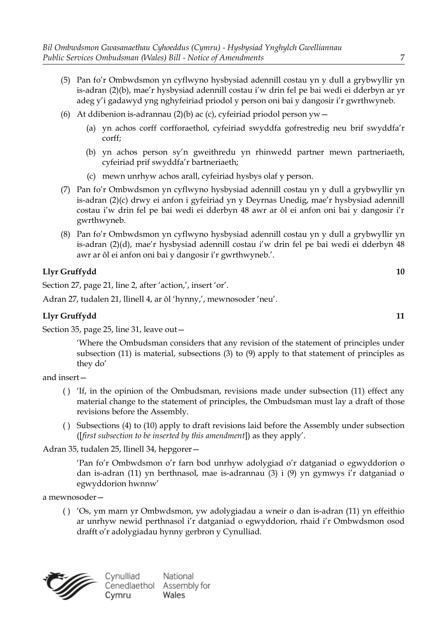- (5) Pan fo'r Ombwdsmon yn cyflwyno hysbysiad adennill costau yn y dull a grybwyllir yn is-adran (2)(b), mae'r hysbysiad adennill costau i'w drin fel pe bai wedi ei dderbyn ar yr adeg y'i gadawyd yng nghyfeiriad priodol y person oni bai y dangosir i'r gwrthwyneb.
- (6) At ddibenion is-adrannau (2)(b) ac (c), cyfeiriad priodol person yw
	- (a) yn achos corff corfforaethol, cyfeiriad swyddfa gofrestredig neu brif swyddfa'r corff;
	- (b) yn achos person sy'n gweithredu yn rhinwedd partner mewn partneriaeth, cyfeiriad prif swyddfa'r bartneriaeth;
	- (c) mewn unrhyw achos arall, cyfeiriad hysbys olaf y person.
- (7) Pan fo'r Ombwdsmon yn cyflwyno hysbysiad adennill costau yn y dull a grybwyllir yn is-adran (2)(c) drwy ei anfon i gyfeiriad yn y Deyrnas Unedig, mae'r hysbysiad adennill costau i'w drin fel pe bai wedi ei dderbyn 48 awr ar ôl ei anfon oni bai y dangosir i'r gwrthwyneb.
- (8) Pan fo'r Ombwdsmon yn cyflwyno hysbysiad adennill costau yn y dull a grybwyllir yn is-adran (2)(d), mae'r hysbysiad adennill costau i'w drin fel pe bai wedi ei dderbyn 48 awr ar ôl ei anfon oni bai y dangosir i'r gwrthwyneb.'.

Section 27, page 21, line 2, after 'action,', insert 'or'.

Adran 27, tudalen 21, llinell 4, ar ôl 'hynny,', mewnosoder 'neu'.

#### **Llyr Gruffydd 11**

Section 35, page 25, line 31, leave out—

'Where the Ombudsman considers that any revision of the statement of principles under subsection (11) is material, subsections (3) to (9) apply to that statement of principles as they do'

and insert—

- ( ) 'If, in the opinion of the Ombudsman, revisions made under subsection (11) effect any material change to the statement of principles, the Ombudsman must lay a draft of those revisions before the Assembly.
- ( ) Subsections (4) to (10) apply to draft revisions laid before the Assembly under subsection ([*first subsection to be inserted by this amendment*]) as they apply'.

Adran 35, tudalen 25, llinell 34, hepgorer—

'Pan fo'r Ombwdsmon o'r farn bod unrhyw adolygiad o'r datganiad o egwyddorion o dan is-adran (11) yn berthnasol, mae is-adrannau (3) i (9) yn gymwys i'r datganiad o egwyddorion hwnnw'

a mewnosoder—

( ) 'Os, ym marn yr Ombwdsmon, yw adolygiadau a wneir o dan is-adran (11) yn effeithio ar unrhyw newid perthnasol i'r datganiad o egwyddorion, rhaid i'r Ombwdsmon osod drafft o'r adolygiadau hynny gerbron y Cynulliad.

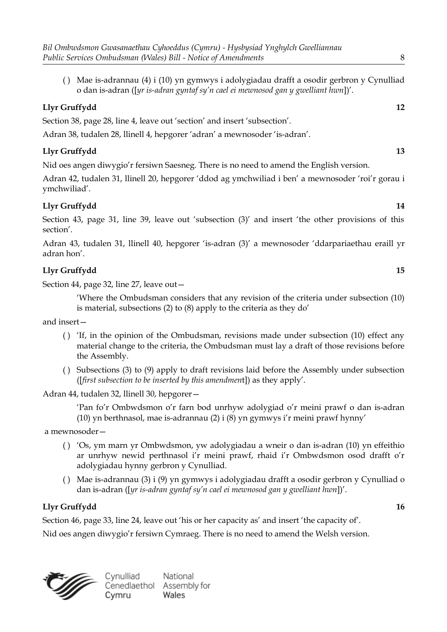( ) Mae is-adrannau (4) i (10) yn gymwys i adolygiadau drafft a osodir gerbron y Cynulliad o dan is-adran ([*yr is-adran gyntaf sy'n cael ei mewnosod gan y gwelliant hwn*])'.

## **Llyr Gruffydd 12**

Section 38, page 28, line 4, leave out 'section' and insert 'subsection'.

Adran 38, tudalen 28, llinell 4, hepgorer 'adran' a mewnosoder 'is-adran'.

## **Llyr Gruffydd 13**

Nid oes angen diwygio'r fersiwn Saesneg. There is no need to amend the English version.

Adran 42, tudalen 31, llinell 20, hepgorer 'ddod ag ymchwiliad i ben' a mewnosoder 'roi'r gorau i ymchwiliad'.

## **Llyr Gruffydd 14**

Section 43, page 31, line 39, leave out 'subsection (3)' and insert 'the other provisions of this section'.

Adran 43, tudalen 31, llinell 40, hepgorer 'is-adran (3)' a mewnosoder 'ddarpariaethau eraill yr adran hon'.

## **Llyr Gruffydd 15**

Section 44, page 32, line 27, leave out—

'Where the Ombudsman considers that any revision of the criteria under subsection (10) is material, subsections (2) to (8) apply to the criteria as they do'

and insert—

- ( ) 'If, in the opinion of the Ombudsman, revisions made under subsection (10) effect any material change to the criteria, the Ombudsman must lay a draft of those revisions before the Assembly.
- ( ) Subsections (3) to (9) apply to draft revisions laid before the Assembly under subsection ([*first subsection to be inserted by this amendmen*t]) as they apply'.

Adran 44, tudalen 32, llinell 30, hepgorer—

'Pan fo'r Ombwdsmon o'r farn bod unrhyw adolygiad o'r meini prawf o dan is-adran (10) yn berthnasol, mae is-adrannau (2) i (8) yn gymwys i'r meini prawf hynny'

a mewnosoder—

- ( ) 'Os, ym marn yr Ombwdsmon, yw adolygiadau a wneir o dan is-adran (10) yn effeithio ar unrhyw newid perthnasol i'r meini prawf, rhaid i'r Ombwdsmon osod drafft o'r adolygiadau hynny gerbron y Cynulliad.
- ( ) Mae is-adrannau (3) i (9) yn gymwys i adolygiadau drafft a osodir gerbron y Cynulliad o dan is-adran ([*yr is-adran gyntaf sy'n cael ei mewnosod gan y gwelliant hwn*])'.

## **Llyr Gruffydd 16**

Section 46, page 33, line 24, leave out 'his or her capacity as' and insert 'the capacity of'.

Nid oes angen diwygio'r fersiwn Cymraeg. There is no need to amend the Welsh version.

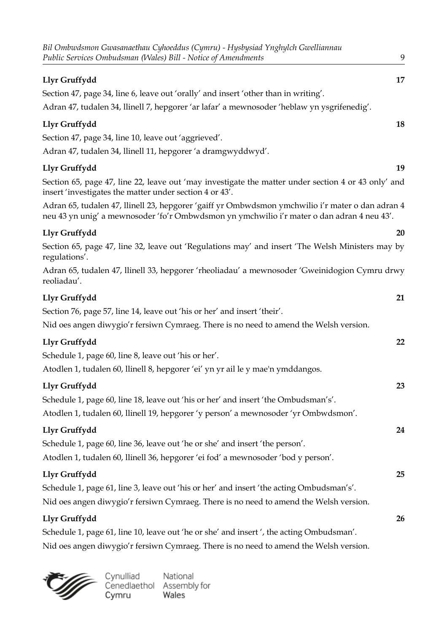| Bil Ombwdsmon Gwasanaethau Cyhoeddus (Cymru) - Hysbysiad Ynghylch Gwelliannau<br>Public Services Ombudsman (Wales) Bill - Notice of Amendments                                                 | 9  |
|------------------------------------------------------------------------------------------------------------------------------------------------------------------------------------------------|----|
| Llyr Gruffydd                                                                                                                                                                                  | 17 |
| Section 47, page 34, line 6, leave out 'orally' and insert 'other than in writing'.                                                                                                            |    |
| Adran 47, tudalen 34, llinell 7, hepgorer 'ar lafar' a mewnosoder 'heblaw yn ysgrifenedig'.                                                                                                    |    |
| Llyr Gruffydd                                                                                                                                                                                  | 18 |
| Section 47, page 34, line 10, leave out 'aggrieved'.                                                                                                                                           |    |
| Adran 47, tudalen 34, llinell 11, hepgorer 'a dramgwyddwyd'.                                                                                                                                   |    |
| Llyr Gruffydd                                                                                                                                                                                  | 19 |
| Section 65, page 47, line 22, leave out 'may investigate the matter under section 4 or 43 only' and<br>insert 'investigates the matter under section 4 or 43'.                                 |    |
| Adran 65, tudalen 47, llinell 23, hepgorer 'gaiff yr Ombwdsmon ymchwilio i'r mater o dan adran 4<br>neu 43 yn unig' a mewnosoder 'fo'r Ombwdsmon yn ymchwilio i'r mater o dan adran 4 neu 43'. |    |
| Llyr Gruffydd                                                                                                                                                                                  | 20 |
| Section 65, page 47, line 32, leave out 'Regulations may' and insert 'The Welsh Ministers may by<br>regulations'.                                                                              |    |
| Adran 65, tudalen 47, llinell 33, hepgorer 'rheoliadau' a mewnosoder 'Gweinidogion Cymru drwy<br>reoliadau'.                                                                                   |    |
| Llyr Gruffydd                                                                                                                                                                                  | 21 |
| Section 76, page 57, line 14, leave out 'his or her' and insert 'their'.                                                                                                                       |    |
| Nid oes angen diwygio'r fersiwn Cymraeg. There is no need to amend the Welsh version.                                                                                                          |    |
| Llyr Gruffydd                                                                                                                                                                                  | 22 |
| Schedule 1, page 60, line 8, leave out 'his or her'.                                                                                                                                           |    |
| Atodlen 1, tudalen 60, llinell 8, hepgorer 'ei' yn yr ail le y mae'n ymddangos.                                                                                                                |    |
| Llyr Gruffydd                                                                                                                                                                                  | 23 |
| Schedule 1, page 60, line 18, leave out 'his or her' and insert 'the Ombudsman's'.                                                                                                             |    |
| Atodlen 1, tudalen 60, llinell 19, hepgorer 'y person' a mewnosoder 'yr Ombwdsmon'.                                                                                                            |    |
| Llyr Gruffydd                                                                                                                                                                                  | 24 |
| Schedule 1, page 60, line 36, leave out 'he or she' and insert 'the person'.                                                                                                                   |    |
| Atodlen 1, tudalen 60, llinell 36, hepgorer 'ei fod' a mewnosoder 'bod y person'.                                                                                                              |    |
| Llyr Gruffydd                                                                                                                                                                                  | 25 |
| Schedule 1, page 61, line 3, leave out 'his or her' and insert 'the acting Ombudsman's'.                                                                                                       |    |
| Nid oes angen diwygio'r fersiwn Cymraeg. There is no need to amend the Welsh version.                                                                                                          |    |
| Llyr Gruffydd                                                                                                                                                                                  | 26 |
| Schedule 1, page 61, line 10, leave out 'he or she' and insert', the acting Ombudsman'.                                                                                                        |    |
| Nid oes angen diwygio'r fersiwn Cymraeg. There is no need to amend the Welsh version.                                                                                                          |    |



Cynulliad National<br>Cenedlaethol Assembly for<br>Cymru Wales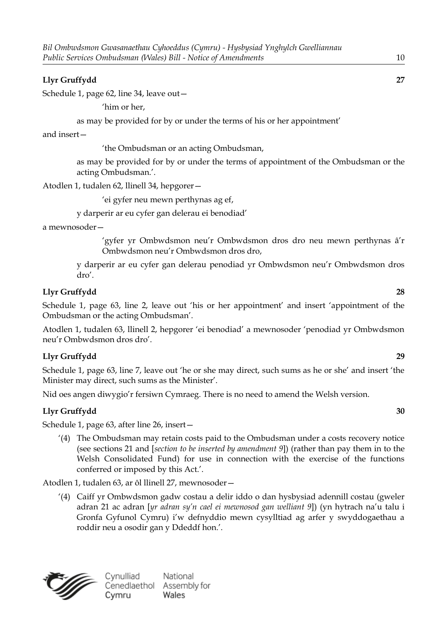Schedule 1, page 62, line 34, leave out—

'him or her,

as may be provided for by or under the terms of his or her appointment'

and insert—

'the Ombudsman or an acting Ombudsman,

as may be provided for by or under the terms of appointment of the Ombudsman or the acting Ombudsman.'.

Atodlen 1, tudalen 62, llinell 34, hepgorer—

'ei gyfer neu mewn perthynas ag ef,

y darperir ar eu cyfer gan delerau ei benodiad'

a mewnosoder—

'gyfer yr Ombwdsmon neu'r Ombwdsmon dros dro neu mewn perthynas â'r Ombwdsmon neu'r Ombwdsmon dros dro,

y darperir ar eu cyfer gan delerau penodiad yr Ombwdsmon neu'r Ombwdsmon dros dro'.

#### **Llyr Gruffydd 28**

Schedule 1, page 63, line 2, leave out 'his or her appointment' and insert 'appointment of the Ombudsman or the acting Ombudsman'.

Atodlen 1, tudalen 63, llinell 2, hepgorer 'ei benodiad' a mewnosoder 'penodiad yr Ombwdsmon neu'r Ombwdsmon dros dro'.

#### **Llyr Gruffydd 29**

Schedule 1, page 63, line 7, leave out 'he or she may direct, such sums as he or she' and insert 'the Minister may direct, such sums as the Minister'.

Nid oes angen diwygio'r fersiwn Cymraeg. There is no need to amend the Welsh version.

#### **Llyr Gruffydd 30**

Schedule 1, page 63, after line 26, insert—

'(4) The Ombudsman may retain costs paid to the Ombudsman under a costs recovery notice (see sections 21 and [*section to be inserted by amendment 9*]) (rather than pay them in to the Welsh Consolidated Fund) for use in connection with the exercise of the functions conferred or imposed by this Act.'.

Atodlen 1, tudalen 63, ar ôl llinell 27, mewnosoder—

'(4) Caiff yr Ombwdsmon gadw costau a delir iddo o dan hysbysiad adennill costau (gweler adran 21 ac adran [*yr adran sy'n cael ei mewnosod gan welliant 9*]) (yn hytrach na'u talu i Gronfa Gyfunol Cymru) i'w defnyddio mewn cysylltiad ag arfer y swyddogaethau a roddir neu a osodir gan y Ddeddf hon.'.